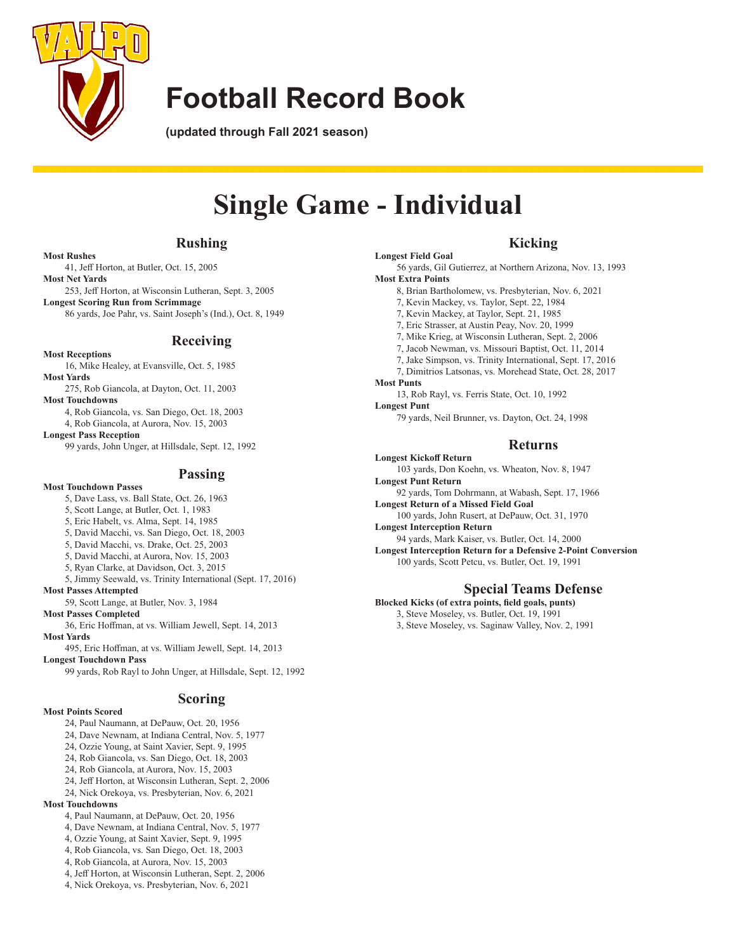

**(updated through Fall 2021 season)**

# **Single Game - Individual**

**Longest Field Goal**

**Most Extra Points**

### **Rushing**

#### **Most Rushes**

 41, Jeff Horton, at Butler, Oct. 15, 2005 **Most Net Yards**

 253, Jeff Horton, at Wisconsin Lutheran, Sept. 3, 2005 **Longest Scoring Run from Scrimmage**

 86 yards, Joe Pahr, vs. Saint Joseph's (Ind.), Oct. 8, 1949

### **Receiving**

**Most Receptions**

- 16, Mike Healey, at Evansville, Oct. 5, 1985
- **Most Yards**
- 275, Rob Giancola, at Dayton, Oct. 11, 2003 **Most Touchdowns**
	- 4, Rob Giancola, vs. San Diego, Oct. 18, 2003 4, Rob Giancola, at Aurora, Nov. 15, 2003

**Longest Pass Reception**

 99 yards, John Unger, at Hillsdale, Sept. 12, 1992

### **Passing**

- **Most Touchdown Passes** 5, Dave Lass, vs. Ball State, Oct. 26, 1963
	-
	- 5, Scott Lange, at Butler, Oct. 1, 1983
	- 5, Eric Habelt, vs. Alma, Sept. 14, 1985
	- 5, David Macchi, vs. San Diego, Oct. 18, 2003 5, David Macchi, vs. Drake, Oct. 25, 2003
	- 5, David Macchi, at Aurora, Nov. 15, 2003
	- 5, Ryan Clarke, at Davidson, Oct. 3, 2015
	- 5, Jimmy Seewald, vs. Trinity International (Sept. 17, 2016)
- **Most Passes Attempted**

 59, Scott Lange, at Butler, Nov. 3, 1984

**Most Passes Completed**

 36, Eric Hoffman, at vs. William Jewell, Sept. 14, 2013 **Most Yards**

 495, Eric Hoffman, at vs. William Jewell, Sept. 14, 2013

**Longest Touchdown Pass**

 99 yards, Rob Rayl to John Unger, at Hillsdale, Sept. 12, 1992

### **Scoring**

#### **Most Points Scored**

- 24, Paul Naumann, at DePauw, Oct. 20, 1956
- 24, Dave Newnam, at Indiana Central, Nov. 5, 1977
- 24, Ozzie Young, at Saint Xavier, Sept. 9, 1995
- 24, Rob Giancola, vs. San Diego, Oct. 18, 2003
- 24, Rob Giancola, at Aurora, Nov. 15, 2003 24, Jeff Horton, at Wisconsin Lutheran, Sept. 2, 2006
- 
- 24, Nick Orekoya, vs. Presbyterian, Nov. 6, 2021 **Most Touchdowns**
	- 4, Paul Naumann, at DePauw, Oct. 20, 1956
	- 4, Dave Newnam, at Indiana Central, Nov. 5, 1977
	- 4, Ozzie Young, at Saint Xavier, Sept. 9, 1995
	- 4, Rob Giancola, vs. San Diego, Oct. 18, 2003
	- 4, Rob Giancola, at Aurora, Nov. 15, 2003
	- 4, Jeff Horton, at Wisconsin Lutheran, Sept. 2, 2006
	- 4, Nick Orekoya, vs. Presbyterian, Nov. 6, 2021

 8, Brian Bartholomew, vs. Presbyterian, Nov. 6, 2021 7, Kevin Mackey, vs. Taylor, Sept. 22, 1984 7, Kevin Mackey, at Taylor, Sept. 21, 1985 7, Eric Strasser, at Austin Peay, Nov. 20, 1999 7, Mike Krieg, at Wisconsin Lutheran, Sept. 2, 2006 7, Jacob Newman, vs. Missouri Baptist, Oct. 11, 2014 7, Jake Simpson, vs. Trinity International, Sept. 17, 2016 7, Dimitrios Latsonas, vs. Morehead State, Oct. 28, 2017 **Most Punts** 13, Rob Rayl, vs. Ferris State, Oct. 10, 1992 **Longest Punt**

 56 yards, Gil Gutierrez, at Northern Arizona, Nov. 13, 1993

 79 yards, Neil Brunner, vs. Dayton, Oct. 24, 1998

### **Returns**

**Kicking**

- **Longest Kickoff Return** 103 yards, Don Koehn, vs. Wheaton, Nov. 8, 1947 **Longest Punt Return**
- 92 yards, Tom Dohrmann, at Wabash, Sept. 17, 1966 **Longest Return of a Missed Field Goal**
- 100 yards, John Rusert, at DePauw, Oct. 31, 1970
- **Longest Interception Return**

 94 yards, Mark Kaiser, vs. Butler, Oct. 14, 2000 **Longest Interception Return for a Defensive 2-Point Conversion** 100 yards, Scott Petcu, vs. Butler, Oct. 19, 1991

### **Special Teams Defense**

**Blocked Kicks (of extra points, field goals, punts)**

 3, Steve Moseley, vs. Butler, Oct. 19, 1991 3, Steve Moseley, vs. Saginaw Valley, Nov. 2, 1991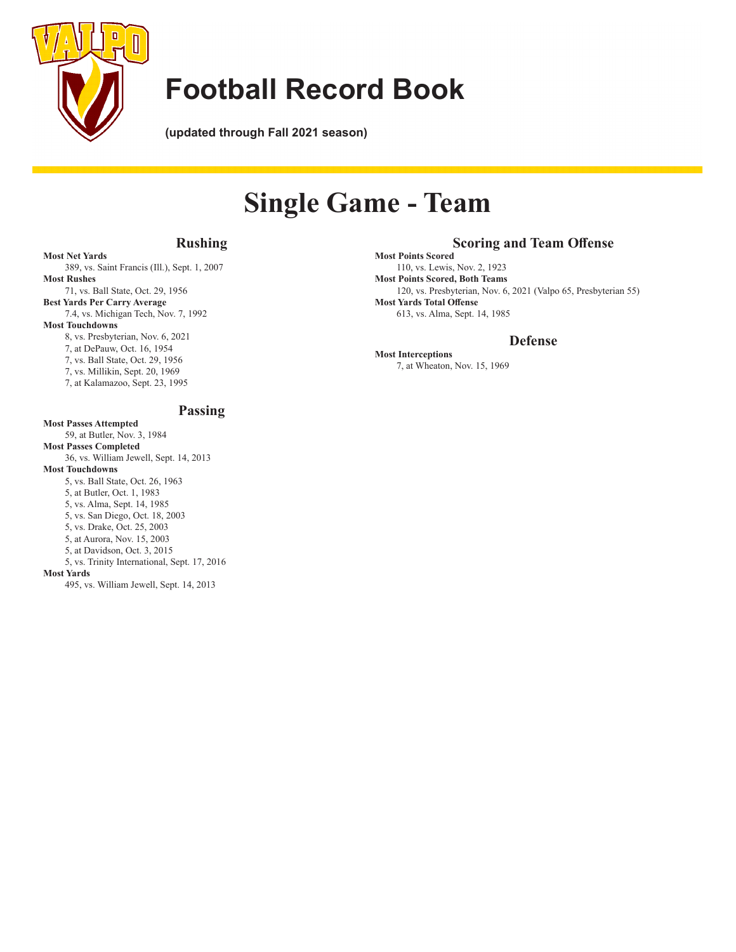

**(updated through Fall 2021 season)**

# **Single Game - Team**

### **Rushing**

### **Scoring and Team Offense**

**Most Points Scored** 110, vs. Lewis, Nov. 2, 1923 **Most Points Scored, Both Teams** 120, vs. Presbyterian, Nov. 6, 2021 (Valpo 65, Presbyterian 55) **Most Yards Total Offense** 613, vs. Alma, Sept. 14, 1985

### **Defense**

**Most Interceptions** 7, at Wheaton, Nov. 15, 1969

**Most Net Yards** 389, vs. Saint Francis (Ill.), Sept. 1, 2007 **Most Rushes** 71, vs. Ball State, Oct. 29, 1956

**Best Yards Per Carry Average** 7.4, vs. Michigan Tech, Nov. 7, 1992 **Most Touchdowns**

 8, vs. Presbyterian, Nov. 6, 2021

 7, at DePauw, Oct. 16, 1954

 7, vs. Ball State, Oct. 29, 1956

 7, vs. Millikin, Sept. 20, 1969

 7, at Kalamazoo, Sept. 23, 1995

### **Passing**

#### **Most Passes Attempted** 59, at Butler, Nov. 3, 1984 **Most Passes Completed** 36, vs. William Jewell, Sept. 14, 2013 **Most Touchdowns** 5, vs. Ball State, Oct. 26, 1963 5, at Butler, Oct. 1, 1983 5, vs. Alma, Sept. 14, 1985 5, vs. San Diego, Oct. 18, 2003 5, vs. Drake, Oct. 25, 2003 5, at Aurora, Nov. 15, 2003 5, at Davidson, Oct. 3, 2015 5, vs. Trinity International, Sept. 17, 2016 **Most Yards** 495, vs. William Jewell, Sept. 14, 2013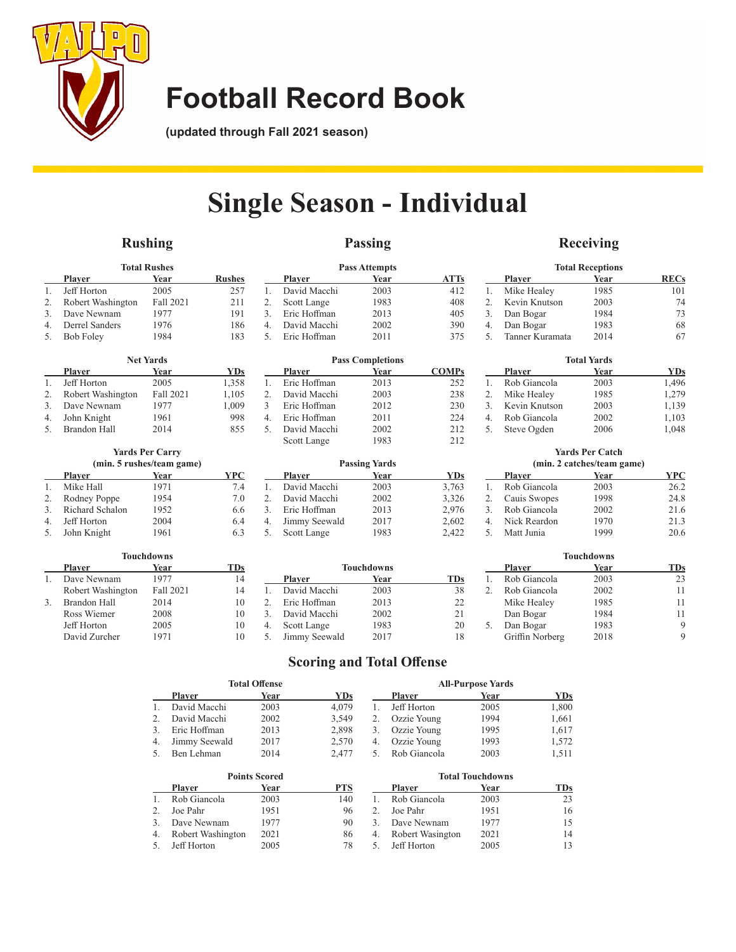

**(updated through Fall 2021 season)**

# **Single Season - Individual**

## **Rushing**

## **Passing**

### **Receiving**

|                                 | <b>Total Rushes</b> |           |     |  |  |  |  |
|---------------------------------|---------------------|-----------|-----|--|--|--|--|
| <b>Rushes</b><br>Player<br>Year |                     |           |     |  |  |  |  |
|                                 | Jeff Horton         | 2005      | 257 |  |  |  |  |
| 2.                              | Robert Washington   | Fall 2021 | 211 |  |  |  |  |
| $\mathcal{R}$                   | Dave Newnam         | 1977      | 191 |  |  |  |  |
| $\overline{4}$                  | Derrel Sanders      | 1976      | 186 |  |  |  |  |
| .5.                             | <b>Bob Foley</b>    | 1984      | 183 |  |  |  |  |

|    | <b>Net Yards</b>  |           |       |  |  |  |  |
|----|-------------------|-----------|-------|--|--|--|--|
|    | <b>Player</b>     | Year      | YDs   |  |  |  |  |
|    | Jeff Horton       | 2005      | 1,358 |  |  |  |  |
| 2. | Robert Washington | Fall 2021 | 1,105 |  |  |  |  |
| 3. | Dave Newnam       | 1977      | 1,009 |  |  |  |  |
| 4. | John Knight       | 1961      | 998   |  |  |  |  |
| 5. | Brandon Hall      | 2014      | 855   |  |  |  |  |

### **Yards Per Carry (min. 5 rushes/team game)**

|         | <b>Player</b>      | Year | YPC |
|---------|--------------------|------|-----|
| $1_{-}$ | Mike Hall          | 1971 | 7.4 |
| 2.      | Rodney Poppe       | 1954 | 7.0 |
|         | 3. Richard Schalon | 1952 | 6.6 |
| 4.      | Jeff Horton        | 2004 | 6.4 |
| 5.      | John Knight        | 1961 | 6.3 |

**Touchdowns**

|                             | <b>Pass Attempts</b> |      |             |  |  |  |
|-----------------------------|----------------------|------|-------------|--|--|--|
|                             | Plaver               | Year | <b>ATTs</b> |  |  |  |
|                             | David Macchi         | 2003 | 412         |  |  |  |
| 2.                          | Scott Lange          | 1983 | 408         |  |  |  |
| $\mathcal{F}_{\mathcal{F}}$ | Eric Hoffman         | 2013 | 405         |  |  |  |
| 4 <sup>1</sup>              | David Macchi         | 2002 | 390         |  |  |  |
| .5                          | Eric Hoffman         | 2011 | 375         |  |  |  |

|    | <b>Pass Completions</b> |      |              |  |  |  |
|----|-------------------------|------|--------------|--|--|--|
|    | <b>Plaver</b>           | Year | <b>COMPs</b> |  |  |  |
| 1. | Eric Hoffman            | 2013 | 252          |  |  |  |
| 2. | David Macchi            | 2003 | 238          |  |  |  |
| 3  | Eric Hoffman            | 2012 | 230          |  |  |  |
| 4. | Eric Hoffman            | 2011 | 224          |  |  |  |
| 5. | David Macchi            | 2002 | 212          |  |  |  |
|    | Scott Lange             | 1983 | 212          |  |  |  |

| <b>Player</b> | Year | <b>YDs</b>           |
|---------------|------|----------------------|
| David Macchi  | 2003 | 3,763                |
| David Macchi  | 2002 | 3.326                |
| Eric Hoffman  | 2013 | 2.976                |
| Jimmy Seewald | 2017 | 2,602                |
| Scott Lange   | 1983 | 2.422                |
|               |      | <b>Passing Yards</b> |

|    | <b>Total Receptions</b> |      |             |  |  |  |
|----|-------------------------|------|-------------|--|--|--|
|    | <b>Player</b>           | Year | <b>RECs</b> |  |  |  |
| 1. | Mike Healey             | 1985 | 101         |  |  |  |
| 2. | Kevin Knutson           | 2003 | 74          |  |  |  |
| 3. | Dan Bogar               | 1984 | 73          |  |  |  |
| 4. | Dan Bogar               | 1983 | 68          |  |  |  |
| 5. | Tanner Kuramata         | 2014 |             |  |  |  |

| <b>Total Yards</b> |      |            |  |  |  |  |
|--------------------|------|------------|--|--|--|--|
| <b>Player</b>      | Year | <b>YDs</b> |  |  |  |  |
| Rob Giancola       | 2003 | 1,496      |  |  |  |  |
| Mike Healey        | 1985 | 1,279      |  |  |  |  |
| Kevin Knutson      | 2003 | 1,139      |  |  |  |  |
| Rob Giancola       | 2002 | 1,103      |  |  |  |  |
| Steve Ogden        | 2006 | 1.048      |  |  |  |  |
|                    |      |            |  |  |  |  |

#### **Yards Per Catch**   $(1 + \alpha)$

|                        | (min. 2 catches/team game) |      |      |  |  |  |
|------------------------|----------------------------|------|------|--|--|--|
|                        | <b>Player</b>              | Year | YPC  |  |  |  |
|                        | Rob Giancola               | 2003 | 26.2 |  |  |  |
| 2.                     | Cauis Swopes               | 1998 | 24.8 |  |  |  |
| $\mathcal{R}_{\alpha}$ | Rob Giancola               | 2002 | 21.6 |  |  |  |
| 4.                     | Nick Reardon               | 1970 | 21.3 |  |  |  |
| -5.                    | Matt Junia                 | 1999 | 20.6 |  |  |  |

**Touchdowns**

| TOUCHUOWIIS |                   |           |       |               |            | TOUCHUOWIIS |  |                 |      |             |
|-------------|-------------------|-----------|-------|---------------|------------|-------------|--|-----------------|------|-------------|
|             | <b>Player</b>     | Year      | TDs - |               | Touchdowns |             |  | <b>Player</b>   | Year | <b>TDs</b>  |
|             | Dave Newnam       | 1977      | 14    | <b>Player</b> | Year       | <b>TDs</b>  |  | Rob Giancola    | 2003 | 23          |
|             | Robert Washington | Fall 2021 |       | David Macchi  | 2003       | 38          |  | Rob Giancola    | 2002 |             |
|             | Brandon Hall      | 2014      |       | Eric Hoffman  | 2013       | 22          |  | Mike Healey     | 1985 |             |
|             | Ross Wiemer       | 2008      |       | David Macchi  | 2002       | 21          |  | Dan Bogar       | 1984 |             |
|             | Jeff Horton       | 2005      |       | Scott Lange   | 1983       | 20          |  | Dan Bogar       | 1983 | $\mathbf Q$ |
|             | David Zurcher     | 1971      |       | Jimmy Seewald | 2017       | 18          |  | Griffin Norberg | 2018 | $\mathbf Q$ |
|             |                   |           |       |               |            |             |  |                 |      |             |

## **Scoring and Total Offense**

|    |                   | <b>Total Offense</b> |            |               |                  | <b>All-Purpose Yards</b> |            |
|----|-------------------|----------------------|------------|---------------|------------------|--------------------------|------------|
|    | <b>Player</b>     | Year                 | <b>YDs</b> |               | <b>Player</b>    | Year                     | <b>YDs</b> |
| 1. | David Macchi      | 2003                 | 4.079      | 1.            | Jeff Horton      | 2005                     | 1,800      |
| 2. | David Macchi      | 2002                 | 3,549      | 2.            | Ozzie Young      | 1994                     | 1.661      |
| 3. | Eric Hoffman      | 2013                 | 2,898      | 3.            | Ozzie Young      | 1995                     | 1,617      |
| 4. | Jimmy Seewald     | 2017                 | 2,570      | 4.            | Ozzie Young      | 1993                     | 1,572      |
| 5. | Ben Lehman        | 2014                 | 2,477      | 5.            | Rob Giancola     | 2003                     | 1,511      |
|    |                   | <b>Points Scored</b> |            |               |                  | <b>Total Touchdowns</b>  |            |
|    | <b>Player</b>     | Year                 | <b>PTS</b> |               | <b>Player</b>    | Year                     | <b>TDs</b> |
| 1. | Rob Giancola      | 2003                 | 140        |               | Rob Giancola     | 2003                     | 23         |
| 2. | Joe Pahr          | 1951                 | 96         | 2             | Joe Pahr         | 1951                     | 16         |
| 3. | Dave Newnam       | 1977                 | 90         | $\mathcal{R}$ | Dave Newnam      | 1977                     | 15         |
| 4. | Robert Washington | 2021                 | 86         | 4.            | Robert Wasington | 2021                     | 14         |
| 5. | Jeff Horton       | 2005                 | 78         | 5.            | Jeff Horton      | 2005                     | 13         |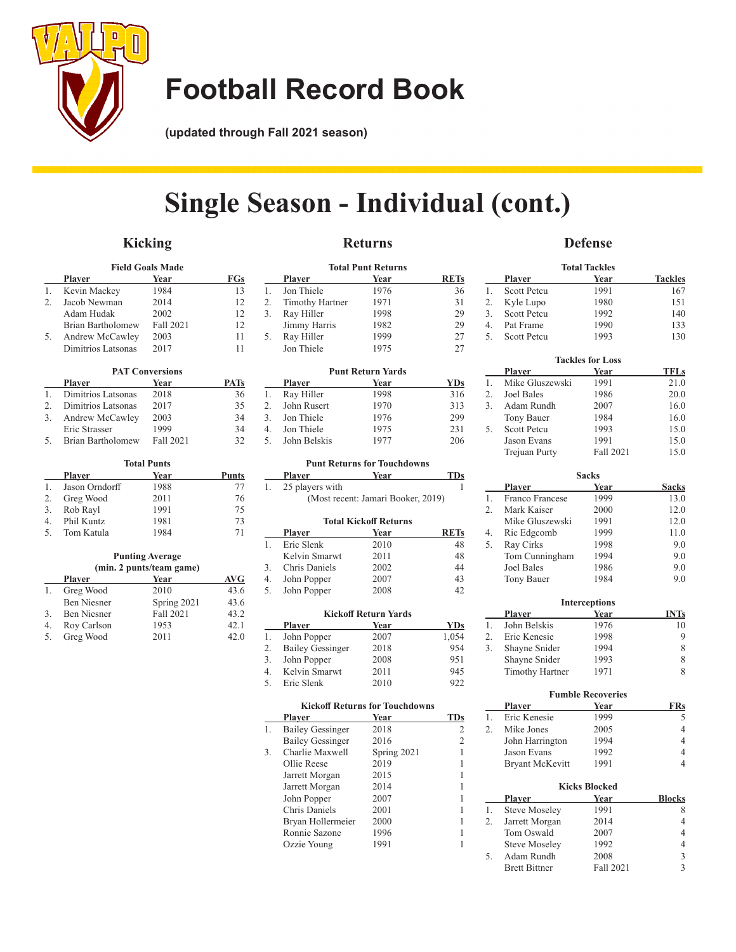

**(updated through Fall 2021 season)**

# **Single Season - Individual (cont.)**

## **Kicking**

## **Defense Total Tackles**

| <b>Field Goals Made</b> |                    |           |     |
|-------------------------|--------------------|-----------|-----|
|                         | <b>Player</b>      | Year      | FGs |
|                         | Kevin Mackey       | 1984      | 13  |
| $2^{1}$                 | Jacob Newman       | 2014      | 12  |
|                         | Adam Hudak         | 2002      | 12  |
|                         | Brian Bartholomew  | Fall 2021 | 12  |
| 5.                      | Andrew McCawley    | 2003      | 11  |
|                         | Dimitrios Latsonas | 2017      |     |

| <b>PAT Conversions</b> |                    |           |      |
|------------------------|--------------------|-----------|------|
|                        | <b>Player</b>      | Year      | PATs |
|                        | Dimitrios Latsonas | 2018      | 36   |
| $2^{\circ}$            | Dimitrios Latsonas | 2017      | 35   |
| 3.                     | Andrew McCawley    | 2003      | 34   |
|                        | Eric Strasser      | 1999      | 34   |
| .5                     | Brian Bartholomew  | Fall 2021 | 32   |

| <b>Total Punts</b> |                |      |       |
|--------------------|----------------|------|-------|
|                    | Plaver         | Year | Punts |
|                    | Jason Orndorff | 1988 | 77    |
| 2.                 | Greg Wood      | 2011 | 76    |
| 3.                 | Rob Rayl       | 1991 | 75    |
| 4 <sup>1</sup>     | Phil Kuntz     | 1981 | 73    |
| 5 <sub>1</sub>     | Tom Katula     | 1984 | 71    |

#### **Punting Average (min. 2 punts/team game)**

|    | <b>Player</b>      | Year        | AVG  |
|----|--------------------|-------------|------|
| 1. | Greg Wood          | 2010        | 43.6 |
|    | <b>Ben Niesner</b> | Spring 2021 | 43.6 |
| 3. | <b>Ben Niesner</b> | Fall 2021   | 43.2 |
| 4. | Roy Carlson        | 1953        | 42.1 |
| 5. | Greg Wood          | 2011        | 42.0 |

| <b>Total Punt Returns</b> |                        |      |             |
|---------------------------|------------------------|------|-------------|
|                           | Plaver                 | Year | <b>RETs</b> |
| 1.                        | Jon Thiele             | 1976 | 36          |
| 2.                        | <b>Timothy Hartner</b> | 1971 | 31          |
| 3.                        | Ray Hiller             | 1998 | 29          |
|                           | Jimmy Harris           | 1982 | 29          |
| 5.                        | Ray Hiller             | 1999 | 27          |
|                           | Jon Thiele             | 1975 | 27          |

| <b>Punt Return Yards</b> |              |      |            |
|--------------------------|--------------|------|------------|
|                          | Player       | Year | <b>YDs</b> |
|                          | Ray Hiller   | 1998 | 316        |
|                          | John Rusert  | 1970 | 313        |
| $\ddot{3}$ .             | Jon Thiele   | 1976 | 299        |
| 4.                       | Jon Thiele   | 1975 | 231        |
|                          | John Belskis | 1977 | 206        |

#### **Punt Returns for Touchdowns**

|    | Plaver            | Year                               | TDs         |
|----|-------------------|------------------------------------|-------------|
| 1. | 25 players with   |                                    |             |
|    |                   | (Most recent: Jamari Booker, 2019) |             |
|    |                   | <b>Total Kickoff Returns</b>       |             |
|    | Plaver            | Year                               | <b>RETs</b> |
| 1. | <b>Eric Slenk</b> | 2010                               | 48          |
|    |                   |                                    |             |

| $\mathbf{L}$ | EIIC SICIIK    | 2010 | 40 |
|--------------|----------------|------|----|
|              | Kelvin Smarwt  | 2011 | 48 |
| 3.           | Chris Daniels  | 2002 | 44 |
| 4.           | John Popper    | 2007 | 43 |
|              | 5. John Popper | 2008 | 42 |
|              |                |      |    |

|    | <b>Kickoff Return Yards</b> |      |            |  |
|----|-----------------------------|------|------------|--|
|    | Plaver                      | Year | <b>YDs</b> |  |
| 1. | John Popper                 | 2007 | 1,054      |  |
| 2. | <b>Bailey Gessinger</b>     | 2018 | 954        |  |
| 3. | John Popper                 | 2008 | 951        |  |
| 4. | Kelvin Smarwt               | 2011 | 945        |  |
| 5. | Eric Slenk                  | 2010 | 922        |  |

| <b>Kickoff Returns for Touchdowns</b> |                         |             |     |
|---------------------------------------|-------------------------|-------------|-----|
|                                       | <b>Plaver</b>           | Year        | TDs |
| 1.                                    | <b>Bailey Gessinger</b> | 2018        | 2   |
|                                       | <b>Bailey Gessinger</b> | 2016        | 2   |
| 3.                                    | Charlie Maxwell         | Spring 2021 |     |
|                                       | Ollie Reese             | 2019        |     |
|                                       | Jarrett Morgan          | 2015        |     |
|                                       | Jarrett Morgan          | 2014        |     |
|                                       | John Popper             | 2007        |     |
|                                       | Chris Daniels           | 2001        |     |
|                                       | Bryan Hollermeier       | 2000        |     |
|                                       | Ronnie Sazone           | 1996        |     |
|                                       | Ozzie Young             | 1991        |     |
|                                       |                         |             |     |

|                  | <b>Player</b>      | Year                    | <b>Tackles</b> |
|------------------|--------------------|-------------------------|----------------|
| 1.               | <b>Scott Petcu</b> | 1991                    | 167            |
| 2.               | Kyle Lupo          | 1980                    | 151            |
| 3.               | <b>Scott Petcu</b> | 1992                    | 140            |
| $\overline{4}$ . | Pat Frame          | 1990                    | 133            |
| 5.               | <b>Scott Petcu</b> | 1993                    | 130            |
|                  |                    |                         |                |
|                  |                    | <b>Tackles for Loss</b> |                |
|                  | <b>Player</b>      | Year                    | <b>TFLs</b>    |
| 1.               | Mike Gluszewski    | 1991                    | 21.0           |
| 2.               | <b>Joel Bales</b>  | 1986                    | 20.0           |
| 3.               | Adam Rundh         | 2007                    | 16.0           |
|                  |                    |                         |                |
|                  | Tony Bauer         | 1984                    | 16.0           |
| 5.               | <b>Scott Petcu</b> | 1993                    | 15.0           |
|                  | Jason Evans        | 1991                    | 15.0           |

| <b>Sacks</b>            |                   |      |              |
|-------------------------|-------------------|------|--------------|
|                         | <b>Player</b>     | Year | <b>Sacks</b> |
|                         | Franco Francese   | 1999 | 13.0         |
| $\mathfrak{D}_{\alpha}$ | Mark Kaiser       | 2000 | 12.0         |
|                         | Mike Gluszewski   | 1991 | 12.0         |
| 4.                      | Ric Edgcomb       | 1999 | 11.0         |
| 5.                      | Ray Cirks         | 1998 | 9.0          |
|                         | Tom Cunningham    | 1994 | 9.0          |
|                         | <b>Joel Bales</b> | 1986 | 9.0          |
|                         | Tony Bauer        | 1984 | 9.0          |

Trejuan Purty

|    | <b>Interceptions</b>                 |      |    |  |  |  |  |
|----|--------------------------------------|------|----|--|--|--|--|
|    | Year<br><b>INTs</b><br><b>Player</b> |      |    |  |  |  |  |
| 1. | John Belskis                         | 1976 | 10 |  |  |  |  |
| 2. | Eric Kenesie                         | 1998 |    |  |  |  |  |
| 3. | Shayne Snider                        | 1994 |    |  |  |  |  |
|    | Shayne Snider                        | 1993 |    |  |  |  |  |
|    | <b>Timothy Hartner</b>               | 1971 |    |  |  |  |  |

|    |                        | <b>Fumble Recoveries</b> |                |
|----|------------------------|--------------------------|----------------|
|    | Plaver                 | Year                     | <b>FRs</b>     |
| 1. | Eric Kenesie           | 1999                     | 5              |
| 2. | Mike Jones             | 2005                     | 4              |
|    | John Harrington        | 1994                     | 4              |
|    | Jason Evans            | 1992                     | 4              |
|    | <b>Bryant McKevitt</b> | 1991                     | $\overline{4}$ |
|    |                        | <b>Kicks Blocked</b>     |                |
|    | Plaver                 | Year                     | <b>Blocks</b>  |
| 1. | <b>Steve Moseley</b>   | 1991                     | 8              |
| 2. | Jarrett Morgan         | 2014                     | 4              |
|    | Tom Oswald             | 2007                     | 4              |
|    | <b>Steve Moseley</b>   | 1992                     | 4              |
|    |                        |                          |                |

5. Adam Rundh 2008 3<br>Brett Bittner Fall 2021 3 Brett Bittner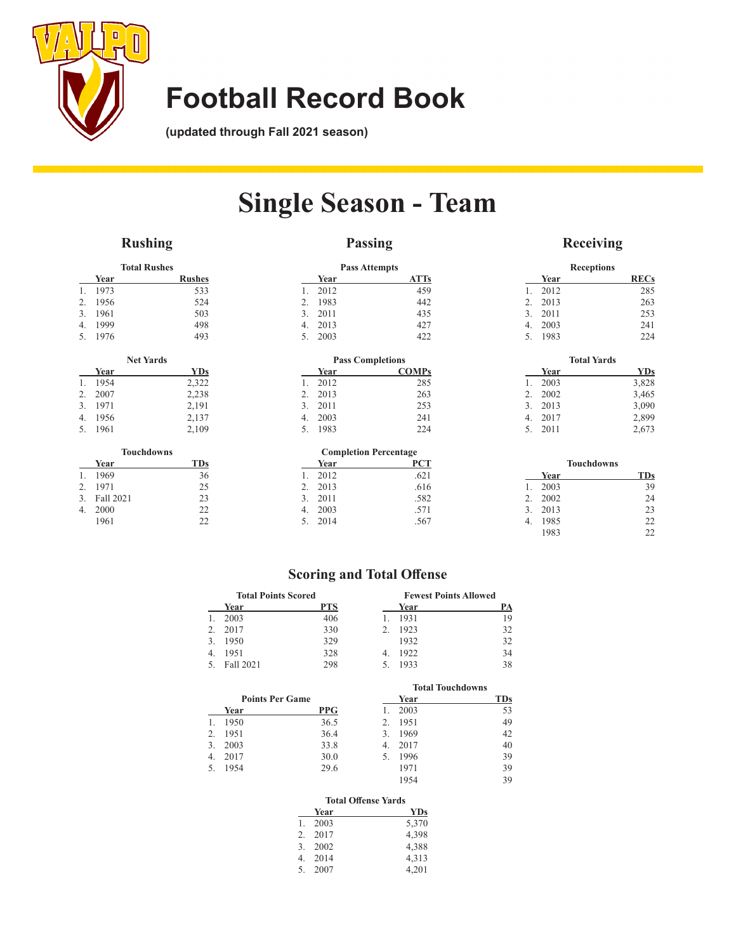

**(updated through Fall 2021 season)**

# **Single Season - Team**

## **Rushing**

## **Passing**

## **Receiving**

| <b>Total Rushes</b> |              |                   |               |
|---------------------|--------------|-------------------|---------------|
|                     | Year         |                   | <b>Rushes</b> |
| 1.                  | 1973         |                   | 533           |
| 2.                  | 1956         |                   | 524           |
| 3.                  | 1961         |                   | 503           |
| $\overline{4}$ .    | 1999         |                   | 498           |
| 5.                  | 1976         |                   | 493           |
|                     |              |                   |               |
|                     |              | <b>Net Yards</b>  |               |
|                     | Year         |                   | <b>YDs</b>    |
| 1.                  | 1954         |                   | 2,322         |
| 2.                  | 2007         |                   | 2,238         |
| 3.                  | 1971         |                   | 2,191         |
| 4.                  | 1956         |                   | 2,137         |
| 5.                  | 1961         |                   | 2,109         |
|                     | $\mathbf{X}$ | <b>Touchdowns</b> | <b>COLOR</b>  |

|                | Year         | TDs |
|----------------|--------------|-----|
| $\mathbf{1}$ . | 1969         | 36  |
| $2^{1}$        | 1971         | 25  |
|                | 3. Fall 2021 | 23  |
| 4.             | 2000         | 22  |
|                | 1961         | 22  |

|              |      | <b>Pass Attempts</b>    |
|--------------|------|-------------------------|
|              | Year | <b>ATTs</b>             |
| 1.           | 2012 | 459                     |
| 2.           | 1983 | 442                     |
| 3.           | 2011 | 435                     |
| 4.           | 2013 | 427                     |
| 5.           | 2003 | 422                     |
|              |      | <b>Pass Completions</b> |
|              | Year | <b>COMPs</b>            |
| 1.           | 2012 | 285                     |
| 2.           | 2013 | 263                     |
| 3.           | 2011 | 253                     |
| $\mathbf{4}$ | 2003 | 241                     |
|              |      |                         |
| 5.           | 1983 | 224                     |

|                | <b>Completion Percentage</b> |      |  |
|----------------|------------------------------|------|--|
|                | Year                         | PCT  |  |
| $\mathbf{1}$ . | 2012                         | .621 |  |
|                | 2. 2013                      | .616 |  |
|                | 3. 2011                      | .582 |  |
|                | 4. 2003                      | .571 |  |
|                | 5. 2014                      | .567 |  |

| <b>Receptions</b>  |      |  |             |  |  |
|--------------------|------|--|-------------|--|--|
|                    | Year |  | <b>RECs</b> |  |  |
| $\mathbf{1}$ .     | 2012 |  | 285         |  |  |
| 2.                 | 2013 |  | 263         |  |  |
| 3.                 | 2011 |  | 253         |  |  |
| $\overline{4}$ .   | 2003 |  | 241         |  |  |
| 5.                 | 1983 |  | 224         |  |  |
|                    |      |  |             |  |  |
| <b>Total Yards</b> |      |  |             |  |  |
|                    |      |  |             |  |  |
|                    | Year |  | <b>YDs</b>  |  |  |
| $\mathbf{1}$ .     | 2003 |  | 3,828       |  |  |
| 2.                 | 2002 |  | 3,465       |  |  |
| 3.                 | 2013 |  | 3,090       |  |  |
| 4.                 | 2017 |  | 2,899       |  |  |
| 5.                 | 2011 |  | 2,673       |  |  |
|                    |      |  |             |  |  |

| <b>Touchdowns</b>       |      |  |            |
|-------------------------|------|--|------------|
|                         | Year |  | <b>TDs</b> |
| 1                       | 2003 |  | 39         |
| $\mathfrak{D}_{\alpha}$ | 2002 |  | 24         |
| $\mathcal{R}_{\alpha}$  | 2013 |  | 23         |
| 4.                      | 1985 |  | 22.        |
|                         | 1983 |  | 22         |

## **Scoring and Total Offense**

| <b>Total Points Scored</b> |            |  | <b>Fewest Points Allowed</b> |    |  |
|----------------------------|------------|--|------------------------------|----|--|
| Year                       | <b>PTS</b> |  | Year                         | PA |  |
| 2003                       | 406        |  | 1931                         | 19 |  |
| 2017                       | 330        |  | 1923                         | 32 |  |
| 1950                       | 329        |  | 1932                         | 32 |  |
| 1951                       | 328        |  | 1922                         | 34 |  |
| Fall 2021                  | 298        |  | 1933                         | 38 |  |

|    | <b>Points Per Game</b> |            |  |
|----|------------------------|------------|--|
|    | Year                   | <b>PPG</b> |  |
| 1. | 1950                   | 36.5       |  |
|    | 2. 1951                | 36.4       |  |
|    | 3. 2003                | 33.8       |  |
|    | 4. 2017                | 30.0       |  |
|    | 5. 1954                | 29.6       |  |

| <b>Total Touchdowns</b> |      |            |  |  |
|-------------------------|------|------------|--|--|
|                         | Year | <b>TDs</b> |  |  |
| 1.                      | 2003 | 53         |  |  |
| 2.                      | 1951 | 49         |  |  |
| 3.                      | 1969 | 42         |  |  |
| 4.                      | 2017 | 40         |  |  |
| 5.                      | 1996 | 39         |  |  |
|                         | 1971 | 39         |  |  |
|                         | 1954 | 39         |  |  |

### **Total Offense Yards**

|             | Year | YDs   |
|-------------|------|-------|
| 1.          | 2003 | 5,370 |
| $2^{1}$     | 2017 | 4,398 |
| 3.          | 2002 | 4.388 |
| $4_{\cdot}$ | 2014 | 4,313 |
| .5          | 2007 | 4.201 |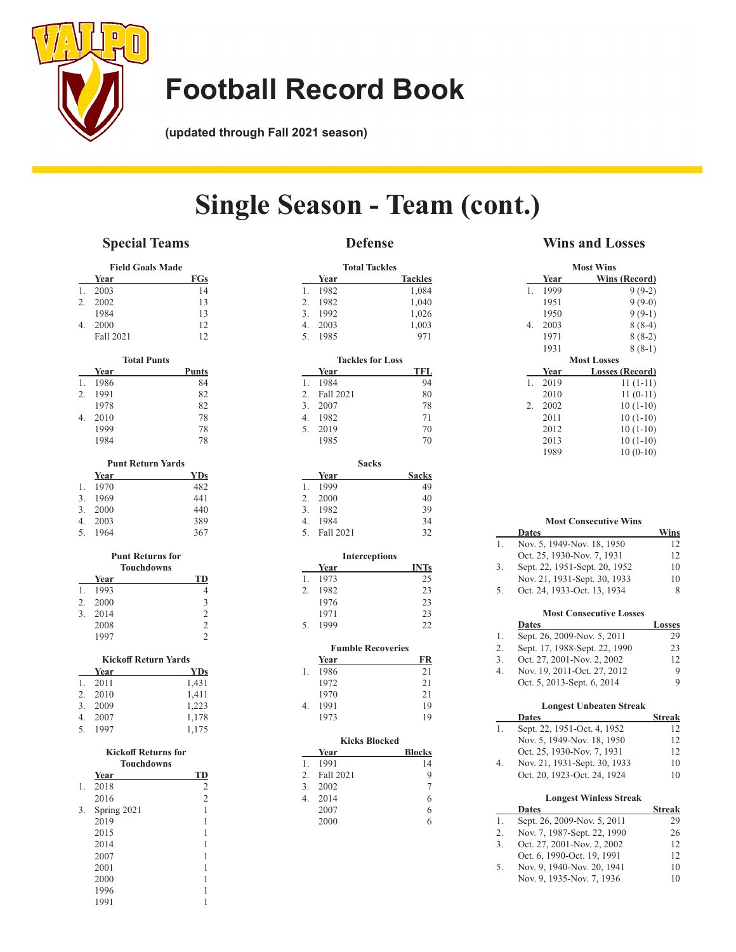

**(updated through Fall 2021 season)**

# **Single Season - Team (cont.)**

## **Special Teams**

## **Defense**

#### **Field Goals Made Year FGs**  $\overline{1. \quad 2003}$  14 2. 2002 13 1984 13<br>2000 12 4. 2000 12<br>Fall 2021 12 Fall 2021 **Total Punts Year Punts** 1. 1986 84<br>2. 1991 82 2. 1991 1978 82 4. 2010 78<br>1999 78 1999 1984 78 **Punt Return Yards Year YDs** 1. 1970 482<br>3. 1969 441 3. 1969 3. 2000 440<br>4. 2003 389 4. 2003 5. 1964 367 **Punt Returns for Touchdowns Year TD**<br>1993 4 1. 1993 2.  $2000$  3<br>3.  $2014$  2 3. 2014  $\begin{array}{ccc}\n 2008 & 2 \\
\hline\n 1997 & 2\n \end{array}$ 1997 **Kickoff Return Yards Year** 1. 2011 1,431 2. 2010 1,411<br>3. 2009 1,223 3. 2009 1,223<br>4. 2007 1,178 4. 2007 5. 1997 1,175 **Kickoff Returns for Touchdowns <u>Year TD**<br>2018 2</u> 1. 2018

|    | 2016        | 2 |
|----|-------------|---|
| 3. | Spring 2021 | 1 |
|    | 2019        | 1 |
|    | 2015        | 1 |
|    | 2014        | 1 |
|    | 2007        | 1 |
|    | 2001        | 1 |
|    | 2000        | 1 |
|    | 1996        | 1 |
|    | 1991        |   |

|                  |             | <b>Total Tackles</b>     |
|------------------|-------------|--------------------------|
|                  | Year        | <b>Tackles</b>           |
| 1.               | 1982        | 1,084                    |
| 2.               | 1982        | 1,040                    |
| 3.               | 1992        | 1,026                    |
| 4.               | 2003        | 1,003                    |
| 5.               | 1985        | 971                      |
|                  |             | <b>Tackles for Loss</b>  |
|                  | <u>Year</u> | TFL                      |
| 1.               | 1984        | 94                       |
| 2.               | Fall 2021   | 80                       |
| 3.               | 2007        | 78                       |
| $\overline{4}$ . | 1982        | 71                       |
| 5.               | 2019        | 70                       |
|                  | 1985        | 70                       |
|                  |             | <b>Sacks</b>             |
|                  | Year        | <b>Sacks</b>             |
| 1.               | 1999        | 49                       |
| 2.               | 2000        | 40                       |
| 3.               | 1982        | 39                       |
| 4.               | 1984        | 34                       |
| 5.               | Fall 2021   | 32                       |
|                  |             | <b>Interceptions</b>     |
|                  | <u>Year</u> | <b>INTs</b>              |
| 1.               | 1973        | 25                       |
| 2.               | 1982        | 23                       |
|                  | 1976        | 23                       |
|                  | 1971        | 23                       |
| 5.               | 1999        | 22                       |
|                  |             | <b>Fumble Recoveries</b> |
|                  | <u>Year</u> | FR                       |
| 1.               | 1986        | 21                       |
|                  | 1972        | 21                       |
|                  | 1970        | 21                       |
| 4.               | 1991        | 19                       |
|                  | 1973        | 19                       |
|                  |             | <b>Kicks Blocked</b>     |
|                  | <u>Year</u> | <b>Blocks</b>            |
| 1.               | 1991        | 14                       |
| 2.               | Fall 2021   | 9                        |
| 3.               | 2002        | 7                        |
| 4.               | 2014        | 6                        |
|                  | 2007        | 6                        |
|                  | 2000        | 6                        |
|                  |             |                          |
|                  |             |                          |
|                  |             |                          |

## **Wins and Losses**

|                        |      | <b>Most Wins</b>   |
|------------------------|------|--------------------|
|                        | Year | Wins (Record)      |
| 1.                     | 1999 | $9(9-2)$           |
|                        | 1951 | $9(9-0)$           |
|                        | 1950 | $9(9-1)$           |
| 4.                     | 2003 | $8(8-4)$           |
|                        | 1971 | $8(8-2)$           |
|                        | 1931 | $8(8-1)$           |
|                        |      | <b>Most Losses</b> |
|                        | Year | Losses (Record)    |
| $\mathbf{1}$ .         |      |                    |
|                        | 2019 | $11(1-11)$         |
|                        | 2010 | $11(0-11)$         |
| $\mathfrak{D}_{\cdot}$ | 2002 | $10(1-10)$         |
|                        | 2011 | $10(1-10)$         |
|                        | 2012 | $10(1-10)$         |
|                        | 2013 | $10(1-10)$         |

|    | <b>VIUSE VALUAGULITE VEIUS</b>      |               |
|----|-------------------------------------|---------------|
|    | <b>Dates</b>                        | Wins          |
| 1. | Nov. 5, 1949-Nov. 18, 1950          | 12            |
|    | Oct. 25, 1930-Nov. 7, 1931          | 12            |
| 3. | Sept. 22, 1951-Sept. 20, 1952       | 10            |
|    | Nov. 21, 1931-Sept. 30, 1933        | 10            |
| 5. | Oct. 24, 1933-Oct. 13, 1934         | 8             |
|    | <b>Most Consecutive Losses</b>      |               |
|    | Dates                               | <b>Losses</b> |
| 1. | Sept. 26, 2009-Nov. 5, 2011         | 29            |
| ◠  | $C_{out}$ 17 1000 $C_{out}$ 22 1000 | າາ            |

**Most Consecutive Wins**

| 2. | Sept. 17, 1988-Sept. 22, 1990 | 23  |
|----|-------------------------------|-----|
| 3. | Oct. 27, 2001-Nov. 2, 2002    | 12. |
| 4. | Nov. 19, 2011-Oct. 27, 2012   | 9   |
|    | Oct. 5, 2013-Sept. 6, 2014    | 9   |

|    | <b>Dates</b>                | <b>Streak</b> |
|----|-----------------------------|---------------|
| 1. | Sept. 22, 1951-Oct. 4, 1952 | 12            |
|    | Nov. 5, 1949-Nov. 18, 1950  | 12            |
|    | Oct. 25, 1930-Nov. 7, 1931  | 12            |

|    |                              | ---- |
|----|------------------------------|------|
| 4. | Nov. 21, 1931-Sept. 30, 1933 | 10   |
|    | Oct. 20, 1923-Oct. 24, 1924  | 10   |
|    |                              |      |

### **Longest Winless Streak**

|     | <b>Dates</b>                | <b>Streak</b> |
|-----|-----------------------------|---------------|
| -1. | Sept. 26, 2009-Nov. 5, 2011 | 29            |
| 2.  | Nov. 7, 1987-Sept. 22, 1990 | 26            |
| 3.  | Oct. 27, 2001-Nov. 2, 2002  | 12            |
|     | Oct. 6, 1990-Oct. 19, 1991  | 12            |
| 5.  | Nov. 9, 1940-Nov. 20, 1941  | 10            |
|     | Nov. 9, 1935-Nov. 7, 1936   | 10            |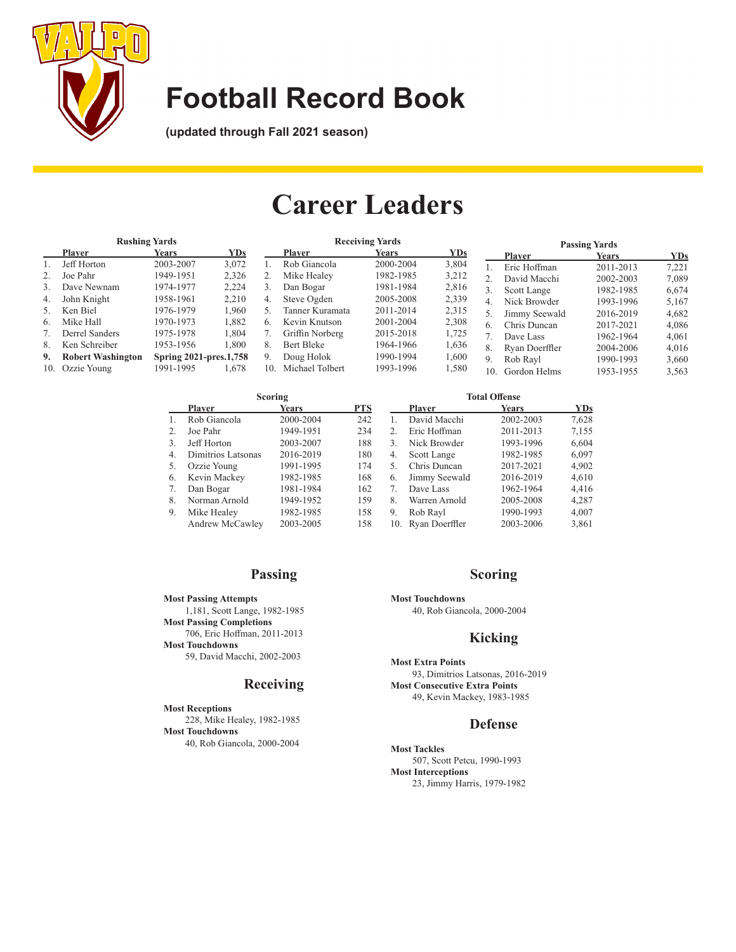

**(updated through Fall 2021 season)**

# **Career Leaders**

| <b>Rushing Yards</b> |                          |                               | <b>Receiving Yards</b> |     |                 |              | <b>Passing Yards</b> |                |                |              |            |
|----------------------|--------------------------|-------------------------------|------------------------|-----|-----------------|--------------|----------------------|----------------|----------------|--------------|------------|
|                      | <b>Player</b>            | <b>Years</b>                  | YDs                    |     | <b>Player</b>   | <b>Years</b> | YDs                  |                | <b>Player</b>  | <b>Years</b> | <b>YDs</b> |
|                      | Jeff Horton              | 2003-2007                     | 3.072                  |     | Rob Giancola    | 2000-2004    | 3,804                |                | Eric Hoffman   | 2011-2013    | 7.221      |
|                      | Joe Pahr                 | 1949-1951                     | 2,326                  |     | Mike Healey     | 1982-1985    | 3,212                |                | David Macchi   | 2002-2003    | 7,089      |
| 3.                   | Dave Newnam              | 1974-1977                     | 2.224                  |     | Dan Bogar       | 1981-1984    | 2,816                | 3.             | Scott Lange    | 1982-1985    | 6.674      |
| 4.                   | John Knight              | 1958-1961                     | 2.210                  | 4.  | Steve Ogden     | 2005-2008    | 2,339                | $\overline{4}$ | Nick Browder   | 1993-1996    | 5,167      |
| 5.                   | Ken Biel                 | 1976-1979                     | 1.960                  | 5.  | Tanner Kuramata | 2011-2014    | 2,315                | 5.             | Jimmy Seewald  | 2016-2019    | 4,682      |
| 6.                   | Mike Hall                | 1970-1973                     | 1.882                  | 6.  | Kevin Knutson   | 2001-2004    | 2,308                | 6.             | Chris Duncan   | 2017-2021    | 4,086      |
|                      | Derrel Sanders           | 1975-1978                     | 1,804                  |     | Griffin Norberg | 2015-2018    | 1,725                |                | Dave Lass      | 1962-1964    | 4.061      |
| 8.                   | Ken Schreiber            | 1953-1956                     | 1.800                  | 8.  | Bert Bleke      | 1964-1966    | 1,636                | 8.             | Ryan Doerffler | 2004-2006    | 4.016      |
| 9.                   | <b>Robert Washington</b> | <b>Spring 2021-pres.1,758</b> |                        | 9.  | Doug Holok      | 1990-1994    | 1,600                | 9.             | Rob Rayl       | 1990-1993    | 3,660      |
| 10.                  | Ozzie Young              | 1991-1995                     | 1,678                  | 10. | Michael Tolbert | 1993-1996    | 1,580                | 10.            | Gordon Helms   | 1953-1955    | 3,563      |

|    |                    | Scoring      |            | <b>Total Offense</b> |                |              |            |  |
|----|--------------------|--------------|------------|----------------------|----------------|--------------|------------|--|
|    | <b>Player</b>      | <b>Years</b> | <b>PTS</b> |                      | <b>Player</b>  | <b>Years</b> | <b>YDs</b> |  |
|    | Rob Giancola       | 2000-2004    | 242        |                      | David Macchi   | 2002-2003    | 7,628      |  |
|    | Joe Pahr           | 1949-1951    | 234        | $2^{1}$              | Eric Hoffman   | 2011-2013    | 7,155      |  |
| 3. | Jeff Horton        | 2003-2007    | 188        | 3.                   | Nick Browder   | 1993-1996    | 6,604      |  |
| 4. | Dimitrios Latsonas | 2016-2019    | 180        | 4.                   | Scott Lange    | 1982-1985    | 6,097      |  |
| 5. | Ozzie Young        | 1991-1995    | 174        | 5.                   | Chris Duncan   | 2017-2021    | 4,902      |  |
| 6. | Kevin Mackey       | 1982-1985    | 168        | 6.                   | Jimmy Seewald  | 2016-2019    | 4,610      |  |
|    | Dan Bogar          | 1981-1984    | 162        | 7.                   | Dave Lass      | 1962-1964    | 4.416      |  |
| 8. | Norman Arnold      | 1949-1952    | 159        | 8.                   | Warren Arnold  | 2005-2008    | 4,287      |  |
| 9. | Mike Healey        | 1982-1985    | 158        | 9.                   | Rob Rayl       | 1990-1993    | 4,007      |  |
|    | Andrew McCawley    | 2003-2005    | 158        | 10.                  | Ryan Doerffler | 2003-2006    | 3,861      |  |

## **Passing**

**Most Passing Attempts** 1,181, Scott Lange, 1982-1985 **Most Passing Completions** 706, Eric Hoffman, 2011-2013 **Most Touchdowns** 59, David Macchi, 2002-2003

## **Receiving**

**Most Receptions** 228, Mike Healey, 1982-1985 **Most Touchdowns** 40, Rob Giancola, 2000-2004

## **Scoring**

**Most Touchdowns** 40, Rob Giancola, 2000-2004

### **Kicking**

**Most Extra Points** 93, Dimitrios Latsonas, 2016-2019 **Most Consecutive Extra Points** 49, Kevin Mackey, 1983-1985

### **Defense**

**Most Tackles** 507, Scott Petcu, 1990-1993 **Most Interceptions** 23, Jimmy Harris, 1979-1982